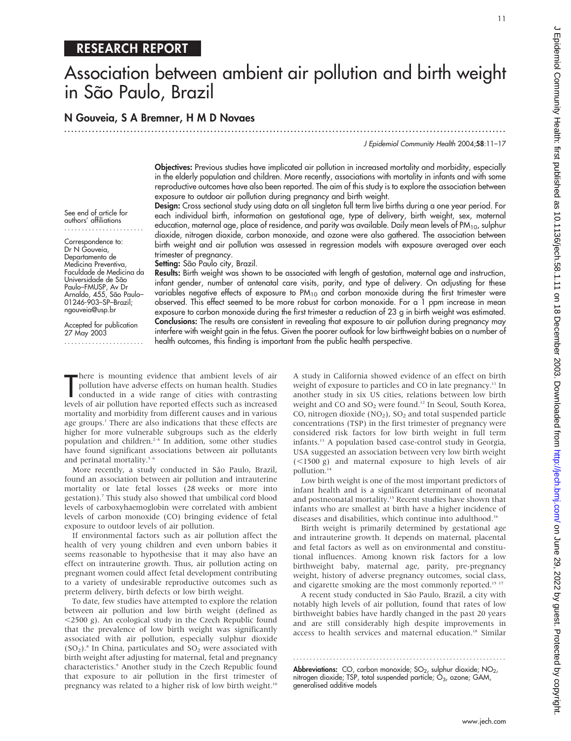# RESEARCH REPORT

# Association between ambient air pollution and birth weight in São Paulo, Brazil

N Gouveia, S A Bremner, H M D Novaes

.............................................................................................................................. .

J Epidemiol Community Health 2004;58:11–17

Objectives: Previous studies have implicated air pollution in increased mortality and morbidity, especially in the elderly population and children. More recently, associations with mortality in infants and with some reproductive outcomes have also been reported. The aim of this study is to explore the association between exposure to outdoor air pollution during pregnancy and birth weight.

Design: Cross sectional study using data on all singleton full term live births during a one year period. For each individual birth, information on gestational age, type of delivery, birth weight, sex, maternal education, maternal age, place of residence, and parity was available. Daily mean levels of PM<sub>10</sub>, sulphur dioxide, nitrogen dioxide, carbon monoxide, and ozone were also gathered. The association between birth weight and air pollution was assessed in regression models with exposure averaged over each trimester of pregnancy.

Setting: São Paulo city, Brazil.

Results: Birth weight was shown to be associated with length of gestation, maternal age and instruction, infant gender, number of antenatal care visits, parity, and type of delivery. On adjusting for these variables negative effects of exposure to PM<sub>10</sub> and carbon monoxide during the first trimester were observed. This effect seemed to be more robust for carbon monoxide. For a 1 ppm increase in mean exposure to carbon monoxide during the first trimester a reduction of 23 g in birth weight was estimated. Conclusions: The results are consistent in revealing that exposure to air pollution during pregnancy may interfere with weight gain in the fetus. Given the poorer outlook for low birthweight babies on a number of health outcomes, this finding is important from the public health perspective.

There is mounting evidence that ambient levels of air pollution have adverse effects on human health. Studies conducted in a wide range of cities with contrasting levels of air pollution have reported effects such as incre here is mounting evidence that ambient levels of air pollution have adverse effects on human health. Studies conducted in a wide range of cities with contrasting mortality and morbidity from different causes and in various age groups.<sup>1</sup> There are also indications that these effects are higher for more vulnerable subgroups such as the elderly population and children. $2-4$  In addition, some other studies have found significant associations between air pollutants and perinatal mortality.<sup>5</sup>

More recently, a study conducted in São Paulo, Brazil, found an association between air pollution and intrauterine mortality or late fetal losses (28 weeks or more into gestation).7 This study also showed that umbilical cord blood levels of carboxyhaemoglobin were correlated with ambient levels of carbon monoxide (CO) bringing evidence of fetal exposure to outdoor levels of air pollution.

If environmental factors such as air pollution affect the health of very young children and even unborn babies it seems reasonable to hypothesise that it may also have an effect on intrauterine growth. Thus, air pollution acting on pregnant women could affect fetal development contributing to a variety of undesirable reproductive outcomes such as preterm delivery, birth defects or low birth weight.

To date, few studies have attempted to explore the relation between air pollution and low birth weight (defined as  $\langle 2500 \text{ g} \rangle$ . An ecological study in the Czech Republic found that the prevalence of low birth weight was significantly associated with air pollution, especially sulphur dioxide  $(SO<sub>2</sub>)$ .<sup>8</sup> In China, particulates and  $SO<sub>2</sub>$  were associated with birth weight after adjusting for maternal, fetal and pregnancy characteristics.<sup>9</sup> Another study in the Czech Republic found that exposure to air pollution in the first trimester of pregnancy was related to a higher risk of low birth weight.<sup>10</sup> A study in California showed evidence of an effect on birth weight of exposure to particles and CO in late pregnancy.<sup>11</sup> In another study in six US cities, relations between low birth weight and CO and SO<sub>2</sub> were found.<sup>12</sup> In Seoul, South Korea, CO, nitrogen dioxide ( $NO<sub>2</sub>$ ),  $SO<sub>2</sub>$  and total suspended particle concentrations (TSP) in the first trimester of pregnancy were considered risk factors for low birth weight in full term infants.13 A population based case-control study in Georgia, USA suggested an association between very low birth weight  $(<1500 g$ ) and maternal exposure to high levels of air pollution.<sup>14</sup>

Low birth weight is one of the most important predictors of infant health and is a significant determinant of neonatal and postneonatal mortality.15 Recent studies have shown that infants who are smallest at birth have a higher incidence of diseases and disabilities, which continue into adulthood.<sup>16</sup>

Birth weight is primarily determined by gestational age and intrauterine growth. It depends on maternal, placental and fetal factors as well as on environmental and constitutional influences. Among known risk factors for a low birthweight baby, maternal age, parity, pre-pregnancy weight, history of adverse pregnancy outcomes, social class, and cigarette smoking are the most commonly reported.<sup>15 17</sup>

A recent study conducted in São Paulo, Brazil, a city with notably high levels of air pollution, found that rates of low birthweight babies have hardly changed in the past 20 years and are still considerably high despite improvements in access to health services and maternal education.<sup>18</sup> Similar

**Abbreviations:** CO, carbon monoxide; SO<sub>2</sub>, sulphur dioxide; NO<sub>2</sub>, nitrogen dioxide; TSP, total suspended particle;  $O_3$ , ozone; GAM, generalised additive models

............................................................... .

 $\epsilon$ 

# authors' affiliations ....................... Correspondence to:

See end of article for

Dr N Gouveia, Departamento de Medicina Preventiva, Faculdade de Medicina da Universidade de São Paulo–FMUSP, Av Dr Arnaldo, 455, São Paulo– 01246-903–SP–Brazil; ngouveia@usp.br

Accepted for publication 27 May 2003 .......................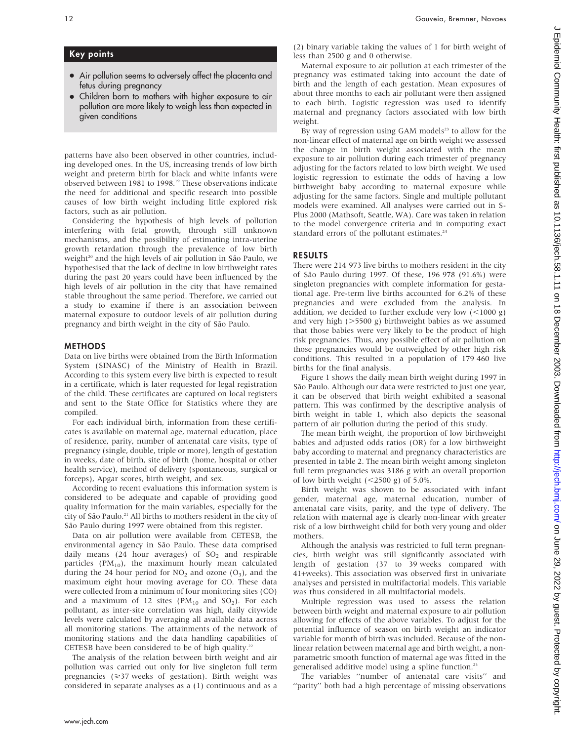# Key points

- Air pollution seems to adversely affect the placenta and fetus during pregnancy
- Children born to mothers with higher exposure to air pollution are more likely to weigh less than expected in given conditions

patterns have also been observed in other countries, including developed ones. In the US, increasing trends of low birth weight and preterm birth for black and white infants were observed between 1981 to 1998.<sup>19</sup> These observations indicate the need for additional and specific research into possible causes of low birth weight including little explored risk factors, such as air pollution.

Considering the hypothesis of high levels of pollution interfering with fetal growth, through still unknown mechanisms, and the possibility of estimating intra-uterine growth retardation through the prevalence of low birth weight<sup>20</sup> and the high levels of air pollution in São Paulo, we hypothesised that the lack of decline in low birthweight rates during the past 20 years could have been influenced by the high levels of air pollution in the city that have remained stable throughout the same period. Therefore, we carried out a study to examine if there is an association between maternal exposure to outdoor levels of air pollution during pregnancy and birth weight in the city of São Paulo.

# METHODS

Data on live births were obtained from the Birth Information System (SINASC) of the Ministry of Health in Brazil. According to this system every live birth is expected to result in a certificate, which is later requested for legal registration of the child. These certificates are captured on local registers and sent to the State Office for Statistics where they are compiled.

For each individual birth, information from these certificates is available on maternal age, maternal education, place of residence, parity, number of antenatal care visits, type of pregnancy (single, double, triple or more), length of gestation in weeks, date of birth, site of birth (home, hospital or other health service), method of delivery (spontaneous, surgical or forceps), Apgar scores, birth weight, and sex.

According to recent evaluations this information system is considered to be adequate and capable of providing good quality information for the main variables, especially for the city of São Paulo.<sup>21</sup> All births to mothers resident in the city of São Paulo during 1997 were obtained from this register.

Data on air pollution were available from CETESB, the environmental agency in São Paulo. These data comprised daily means (24 hour averages) of  $SO<sub>2</sub>$  and respirable particles  $(PM_{10})$ , the maximum hourly mean calculated during the 24 hour period for  $NO<sub>2</sub>$  and ozone  $(O<sub>3</sub>)$ , and the maximum eight hour moving average for CO. These data were collected from a minimum of four monitoring sites (CO) and a maximum of 12 sites ( $PM_{10}$  and  $SO_2$ ). For each pollutant, as inter-site correlation was high, daily citywide levels were calculated by averaging all available data across all monitoring stations. The attainments of the network of monitoring stations and the data handling capabilities of CETESB have been considered to be of high quality.<sup>22</sup>

The analysis of the relation between birth weight and air pollution was carried out only for live singleton full term pregnancies  $(\geq 37$  weeks of gestation). Birth weight was considered in separate analyses as a (1) continuous and as a (2) binary variable taking the values of 1 for birth weight of less than 2500 g and 0 otherwise.

Maternal exposure to air pollution at each trimester of the pregnancy was estimated taking into account the date of birth and the length of each gestation. Mean exposures of about three months to each air pollutant were then assigned to each birth. Logistic regression was used to identify maternal and pregnancy factors associated with low birth weight.

By way of regression using  $GAM$  models<sup>23</sup> to allow for the non-linear effect of maternal age on birth weight we assessed the change in birth weight associated with the mean exposure to air pollution during each trimester of pregnancy adjusting for the factors related to low birth weight. We used logistic regression to estimate the odds of having a low birthweight baby according to maternal exposure while adjusting for the same factors. Single and multiple pollutant models were examined. All analyses were carried out in S-Plus 2000 (Mathsoft, Seattle, WA). Care was taken in relation to the model convergence criteria and in computing exact standard errors of the pollutant estimates.<sup>24</sup>

# RESULTS

There were 214 973 live births to mothers resident in the city of São Paulo during 1997. Of these, 196 978 (91.6%) were singleton pregnancies with complete information for gestational age. Pre-term live births accounted for 6.2% of these pregnancies and were excluded from the analysis. In addition, we decided to further exclude very low  $(<1000 g$ ) and very high  $(>5500 \text{ g})$  birthweight babies as we assumed that those babies were very likely to be the product of high risk pregnancies. Thus, any possible effect of air pollution on those pregnancies would be outweighed by other high risk conditions. This resulted in a population of 179 460 live births for the final analysis.

Figure 1 shows the daily mean birth weight during 1997 in São Paulo. Although our data were restricted to just one year, it can be observed that birth weight exhibited a seasonal pattern. This was confirmed by the descriptive analysis of birth weight in table 1, which also depicts the seasonal pattern of air pollution during the period of this study.

The mean birth weight, the proportion of low birthweight babies and adjusted odds ratios (OR) for a low birthweight baby according to maternal and pregnancy characteristics are presented in table 2. The mean birth weight among singleton full term pregnancies was 3186 g with an overall proportion of low birth weight  $(<2500 \text{ g})$  of 5.0%.

Birth weight was shown to be associated with infant gender, maternal age, maternal education, number of antenatal care visits, parity, and the type of delivery. The relation with maternal age is clearly non-linear with greater risk of a low birthweight child for both very young and older mothers.

Although the analysis was restricted to full term pregnancies, birth weight was still significantly associated with length of gestation (37 to 39 weeks compared with 41+weeks). This association was observed first in univariate analyses and persisted in multifactorial models. This variable was thus considered in all multifactorial models.

Multiple regression was used to assess the relation between birth weight and maternal exposure to air pollution allowing for effects of the above variables. To adjust for the potential influence of season on birth weight an indicator variable for month of birth was included. Because of the nonlinear relation between maternal age and birth weight, a nonparametric smooth function of maternal age was fitted in the generalised additive model using a spline function.<sup>23</sup>

The variables ''number of antenatal care visits'' and "parity" both had a high percentage of missing observations

 $\sim$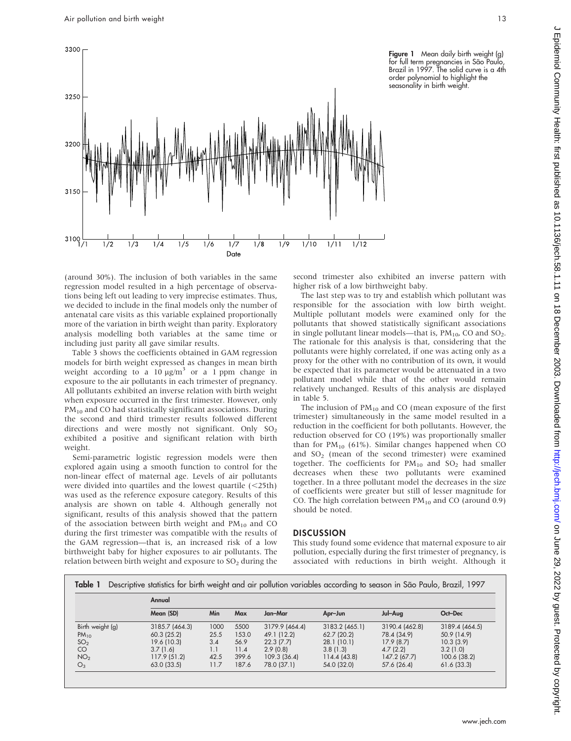

Figure 1 Mean daily birth weight (g) for full term pregnancies in São Paulo Brazil in 1997. The solid curve is a 4th order polynomial to highlight the

(around 30%). The inclusion of both variables in the same regression model resulted in a high percentage of observations being left out leading to very imprecise estimates. Thus, we decided to include in the final models only the number of antenatal care visits as this variable explained proportionally more of the variation in birth weight than parity. Exploratory analysis modelling both variables at the same time or including just parity all gave similar results.

Table 3 shows the coefficients obtained in GAM regression models for birth weight expressed as changes in mean birth weight according to a  $10 \mu g/m^3$  or a 1 ppm change in exposure to the air pollutants in each trimester of pregnancy. All pollutants exhibited an inverse relation with birth weight when exposure occurred in the first trimester. However, only  $PM<sub>10</sub>$  and CO had statistically significant associations. During the second and third trimester results followed different directions and were mostly not significant. Only SO<sub>2</sub> exhibited a positive and significant relation with birth weight.

Semi-parametric logistic regression models were then explored again using a smooth function to control for the non-linear effect of maternal age. Levels of air pollutants were divided into quartiles and the lowest quartile  $\langle$  <25th) was used as the reference exposure category. Results of this analysis are shown on table 4. Although generally not significant, results of this analysis showed that the pattern of the association between birth weight and  $PM_{10}$  and CO during the first trimester was compatible with the results of the GAM regression—that is, an increased risk of a low birthweight baby for higher exposures to air pollutants. The relation between birth weight and exposure to  $SO<sub>2</sub>$  during the second trimester also exhibited an inverse pattern with higher risk of a low birthweight baby.

The last step was to try and establish which pollutant was responsible for the association with low birth weight. Multiple pollutant models were examined only for the pollutants that showed statistically significant associations in single pollutant linear models—that is,  $PM_{10}$ , CO and SO<sub>2</sub>. The rationale for this analysis is that, considering that the pollutants were highly correlated, if one was acting only as a proxy for the other with no contribution of its own, it would be expected that its parameter would be attenuated in a two pollutant model while that of the other would remain relatively unchanged. Results of this analysis are displayed in table 5.

The inclusion of  $PM_{10}$  and CO (mean exposure of the first trimester) simultaneously in the same model resulted in a reduction in the coefficient for both pollutants. However, the reduction observed for CO (19%) was proportionally smaller than for  $PM_{10}$  (61%). Similar changes happened when CO and  $SO<sub>2</sub>$  (mean of the second trimester) were examined together. The coefficients for  $PM_{10}$  and  $SO_2$  had smaller decreases when these two pollutants were examined together. In a three pollutant model the decreases in the size of coefficients were greater but still of lesser magnitude for CO. The high correlation between  $PM_{10}$  and CO (around 0.9) should be noted.

### **DISCUSSION**

This study found some evidence that maternal exposure to air pollution, especially during the first trimester of pregnancy, is associated with reductions in birth weight. Although it

|                  | Annual          |            |       |                |                |                |                |  |  |  |
|------------------|-----------------|------------|-------|----------------|----------------|----------------|----------------|--|--|--|
|                  | Mean (SD)       | <b>Min</b> | Max   | Jan-Mar        | Apr-Jun        | Jul-Aug        | Oct-Dec        |  |  |  |
| Birth weight (g) | 3185.7 (464.3)  | 1000       | 5500  | 3179.9 (464.4) | 3183.2 (465.1) | 3190.4 (462.8) | 3189.4 (464.5) |  |  |  |
| $PM_{10}$        | 60.3 (25.2)     | 25.5       | 153.0 | 49.1 (12.2)    | 62.7 (20.2)    | 78.4 (34.9)    | 50.9 (14.9)    |  |  |  |
| SO <sub>2</sub>  | 19.6 (10.3)     | 3.4        | 56.9  | 22.3(7.7)      | 28.1(10.1)     | 17.9(8.7)      | 10.3(3.9)      |  |  |  |
| CO               | 3.7(1.6)        | 1.1        | 11.4  | 2.9(0.8)       | 3.8(1.3)       | 4.7(2.2)       | 3.2(1.0)       |  |  |  |
| NO <sub>2</sub>  | 117.9 (51.2)    | 42.5       | 399.6 | 109.3 (36.4)   | 114.4(43.8)    | 147.2(67.7)    | 100.6 (38.2)   |  |  |  |
| $O_3$            | $63.0$ $(33.5)$ | 11.7       | 187.6 | 78.0 (37.1)    | 54.0 (32.0)    | 57.6 (26.4)    | 61.6(33.3)     |  |  |  |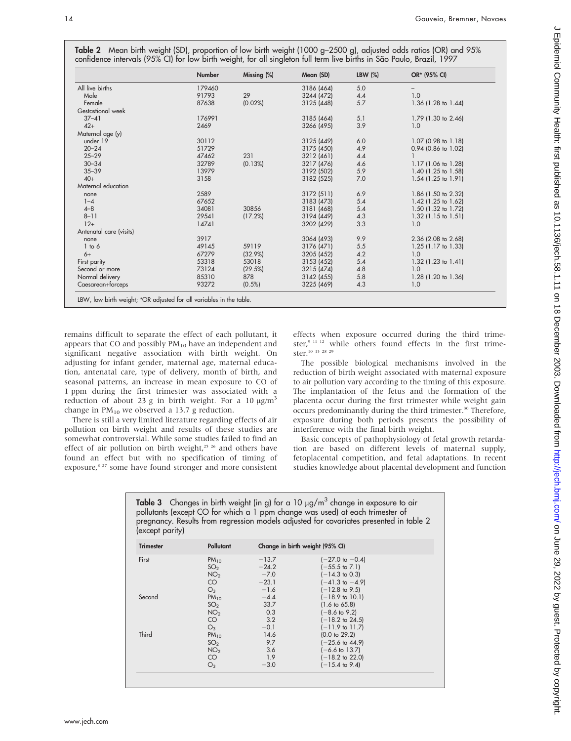Table 2 Mean birth weight (SD), proportion of low birth weight (1000 g-2500 g), adjusted odds ratios (OR) and 95% confidence intervals (95% CI) for low birth weight, for all singleton full term live births in Sa˜o Paulo, Brazil, 1997

|                         | <b>Number</b> | Missing (%) | Mean (SD)  | LBW $(%)$ | OR* (95% CI)             |
|-------------------------|---------------|-------------|------------|-----------|--------------------------|
| All live births         | 179460        |             | 3186 (464) | 5.0       | $\overline{\phantom{0}}$ |
| Male                    | 91793         | 29          | 3244 (472) | 4.4       | 1.0                      |
| Female                  | 87638         | (0.02%)     | 3125 (448) | 5.7       | $1.36$ (1.28 to 1.44)    |
| Gestastional week       |               |             |            |           |                          |
| $37 - 41$               | 176991        |             | 3185 (464) | 5.1       | 1.79 (1.30 to 2.46)      |
| $42+$                   | 2469          |             | 3266 (495) | 3.9       | 1.0                      |
| Maternal age (y)        |               |             |            |           |                          |
| under 19                | 30112         |             | 3125 (449) | 6.0       | $1.07$ (0.98 to 1.18)    |
| $20 - 24$               | 51729         |             | 3175 (450) | 4.9       | 0.94 (0.86 to 1.02)      |
| $25 - 29$               | 47462         | 231         | 3212 (461) | 4.4       |                          |
| $30 - 34$               | 32789         | (0.13%)     | 3217 (476) | 4.6       | 1.17 (1.06 to 1.28)      |
| $35 - 39$               | 13979         |             | 3192 (502) | 5.9       | 1.40 (1.25 to 1.58)      |
| $40+$                   | 3158          |             | 3182 (525) | 7.0       | $1.54$ (1.25 to 1.91)    |
| Maternal education      |               |             |            |           |                          |
| none                    | 2589          |             | 3172 (511) | 6.9       | 1.86 (1.50 to 2.32)      |
| $1 - 4$                 | 67652         |             | 3183 (473) | 5.4       | 1.42 (1.25 to 1.62)      |
| $4 - 8$                 | 34081         | 30856       | 3181 (468) | 5.4       | 1.50 (1.32 to 1.72)      |
| $8 - 11$                | 29541         | (17.2%)     | 3194 (449) | 4.3       | $1.32$ (1.15 to 1.51)    |
| $12+$                   | 14741         |             | 3202 (429) | 3.3       | 1.0                      |
| Antenatal care (visits) |               |             |            |           |                          |
| none                    | 3917          |             | 3064 (493) | 9.9       | 2.36 (2.08 to 2.68)      |
| $1$ to 6                | 49145         | 59119       | 3176 (471) | 5.5       | 1.25 (1.17 to 1.33)      |
| $6+$                    | 67279         | $(32.9\%)$  | 3205 (452) | 4.2       | 1.0                      |
| First parity            | 53318         | 53018       | 3153 (452) | 5.4       | $1.32$ (1.23 to 1.41)    |
| Second or more          | 73124         | (29.5%)     | 3215 (474) | 4.8       | 1.0                      |
| Normal delivery         | 85310         | 878         | 3142 (455) | 5.8       | 1.28 (1.20 to 1.36)      |
| Caesarean+forceps       | 93272         | (0.5%)      | 3225 (469) | 4.3       | 1.0                      |

remains difficult to separate the effect of each pollutant, it appears that CO and possibly  $PM_{10}$  have an independent and significant negative association with birth weight. On adjusting for infant gender, maternal age, maternal education, antenatal care, type of delivery, month of birth, and seasonal patterns, an increase in mean exposure to CO of 1 ppm during the first trimester was associated with a reduction of about 23 g in birth weight. For a 10  $\mu$ g/m<sup>3</sup> change in  $PM_{10}$  we observed a 13.7 g reduction.

There is still a very limited literature regarding effects of air pollution on birth weight and results of these studies are somewhat controversial. While some studies failed to find an effect of air pollution on birth weight,<sup>25 26</sup> and others have found an effect but with no specification of timing of exposure,<sup>8 27</sup> some have found stronger and more consistent effects when exposure occurred during the third trimester,<sup>9 11 12</sup> while others found effects in the first trimester.<sup>10</sup> <sup>13</sup> <sup>28</sup> <sup>29</sup>

The possible biological mechanisms involved in the reduction of birth weight associated with maternal exposure to air pollution vary according to the timing of this exposure. The implantation of the fetus and the formation of the placenta occur during the first trimester while weight gain occurs predominantly during the third trimester.<sup>30</sup> Therefore, exposure during both periods presents the possibility of interference with the final birth weight.

Basic concepts of pathophysiology of fetal growth retardation are based on different levels of maternal supply, fetoplacental competition, and fetal adaptations. In recent studies knowledge about placental development and function

Table 3 Changes in birth weight (in g) for a 10  $\mu$ g/m<sup>3</sup> change in exposure to air pollutants (except CO for which a 1 ppm change was used) at each trimester of pregnancy. Results from regression models adjusted for covariates presented in table 2 (except parity)

| <b>Trimester</b> | Pollutant       | Change in birth weight (95% CI) |                            |  |  |  |
|------------------|-----------------|---------------------------------|----------------------------|--|--|--|
| First            | $PM_{10}$       | $-13.7$                         | $(-27.0 \text{ to } -0.4)$ |  |  |  |
|                  | SO <sub>2</sub> | $-24.2$                         | $(-55.5 \text{ to } 7.1)$  |  |  |  |
|                  | NO <sub>2</sub> | $-7.0$                          | $(-14.3 \text{ to } 0.3)$  |  |  |  |
|                  | CO              | $-23.1$                         | $(-41.3 \text{ to } -4.9)$ |  |  |  |
|                  | $O_3$           | $-1.6$                          | $(-12.8 \text{ to } 9.5)$  |  |  |  |
| Second           | $PM_{10}$       | $-4.4$                          | $(-18.9 \text{ to } 10.1)$ |  |  |  |
|                  | SO <sub>2</sub> | 33.7                            | $(1.6 \text{ to } 65.8)$   |  |  |  |
|                  | NO <sub>2</sub> | 0.3                             | $(-8.6 \text{ to } 9.2)$   |  |  |  |
|                  | CO              | 3.2                             | $(-18.2 \text{ to } 24.5)$ |  |  |  |
|                  | $O_3$           | $-0.1$                          | $(-11.9 \text{ to } 11.7)$ |  |  |  |
| Third            | $PM_{10}$       | 14.6                            | $(0.0 \text{ to } 29.2)$   |  |  |  |
|                  | SO <sub>2</sub> | 9.7                             | $(-25.6 \text{ to } 44.9)$ |  |  |  |
|                  | NO <sub>2</sub> | 3.6                             | $(-6.6 \text{ to } 13.7)$  |  |  |  |
|                  | CO              | 1.9                             | $(-18.2 \text{ to } 22.0)$ |  |  |  |
|                  | $O_3$           | $-3.0$                          | $(-15.4 \text{ to } 9.4)$  |  |  |  |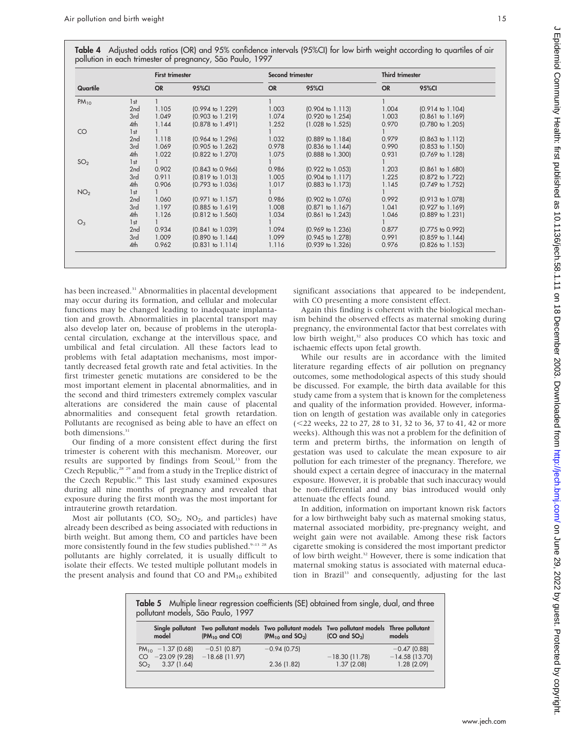|  | Table 4 Adjusted odds ratios (OR) and 95% confidence intervals (95%CI) for low birth weight according to quartiles of air |  |  |  |  |  |
|--|---------------------------------------------------------------------------------------------------------------------------|--|--|--|--|--|
|  | pollution in each trimester of pregnancy, São Paulo, 1997                                                                 |  |  |  |  |  |

|                 |                 | <b>First trimester</b> |                             | Second trimester |                             | Third trimester |                             |  |
|-----------------|-----------------|------------------------|-----------------------------|------------------|-----------------------------|-----------------|-----------------------------|--|
| Quartile        |                 | <b>OR</b>              | 95%CI                       | <b>OR</b>        | 95%CI                       | <b>OR</b>       | 95%CI                       |  |
| $PM_{10}$       | 1st             |                        |                             |                  |                             |                 |                             |  |
|                 | 2 <sub>nd</sub> | 1.105                  | $(0.994 \text{ to } 1.229)$ | 1.003            | $(0.904 \text{ to } 1.113)$ | 1.004           | $(0.914 \text{ to } 1.104)$ |  |
|                 | 3rd             | 1.049                  | $(0.903 \text{ to } 1.219)$ | 1.074            | $(0.920 \text{ to } 1.254)$ | 1.003           | $(0.861$ to $1.169)$        |  |
|                 | 4th             | 1.144                  | $(0.878 \text{ to } 1.491)$ | 1.252            | $(1.028 \text{ to } 1.525)$ | 0.970           | $(0.780 \text{ to } 1.205)$ |  |
| CO              | 1st             |                        |                             |                  |                             |                 |                             |  |
|                 | 2 <sub>nd</sub> | 1.118                  | $(0.964 \text{ to } 1.296)$ | 1.032            | $(0.889 \text{ to } 1.184)$ | 0.979           | $(0.863 \text{ to } 1.112)$ |  |
|                 | 3rd             | 1.069                  | $(0.905 \text{ to } 1.262)$ | 0.978            | $(0.836 \text{ to } 1.144)$ | 0.990           | $(0.853$ to $1.150)$        |  |
|                 | 4th             | 1.022                  | $(0.822$ to $1.270)$        | 1.075            | $(0.888 \text{ to } 1.300)$ | 0.931           | $(0.769 \text{ to } 1.128)$ |  |
| SO <sub>2</sub> | 1st             |                        |                             |                  |                             |                 |                             |  |
|                 | 2 <sub>nd</sub> | 0.902                  | $(0.843)$ to $0.966$        | 0.986            | $(0.922 \text{ to } 1.053)$ | 1.203           | $(0.861$ to $1.680)$        |  |
|                 | 3rd             | 0.911                  | $(0.819 \text{ to } 1.013)$ | 1.005            | $(0.904 \text{ to } 1.117)$ | 1.225           | $(0.872 \text{ to } 1.722)$ |  |
|                 | 4th             | 0.906                  | $(0.793$ to $1.036)$        | 1.017            | $(0.883 \text{ to } 1.173)$ | 1.145           | $(0.749 \text{ to } 1.752)$ |  |
| NO <sub>2</sub> | 1st             |                        |                             |                  |                             |                 |                             |  |
|                 | 2 <sub>nd</sub> | 1.060                  | $(0.971$ to $1.157)$        | 0.986            | $(0.902 \text{ to } 1.076)$ | 0.992           | $(0.913 \text{ to } 1.078)$ |  |
|                 | 3rd             | 1.197                  | $(0.885 \text{ to } 1.619)$ | 1.008            | $(0.871$ to $1.167)$        | 1.041           | $(0.927$ to $1.169)$        |  |
|                 | 4th             | 1.126                  | $(0.812 \text{ to } 1.560)$ | 1.034            | $(0.861$ to $1.243)$        | 1.046           | $(0.889$ to $1.231)$        |  |
| $O_3$           | 1st             |                        |                             |                  |                             |                 |                             |  |
|                 | 2 <sub>nd</sub> | 0.934                  | $(0.841$ to $1.039)$        | 1.094            | $(0.969 \text{ to } 1.236)$ | 0.877           | $(0.775 \text{ to } 0.992)$ |  |
|                 | 3rd             | 1.009                  | $(0.890 \text{ to } 1.144)$ | 1.099            | $(0.945 \text{ to } 1.278)$ | 0.991           | $(0.859 \text{ to } 1.144)$ |  |
|                 | 4th             | 0.962                  | $(0.831$ to $1.114)$        | 1.116            | $(0.939$ to $1.326)$        | 0.976           | $(0.826 \text{ to } 1.153)$ |  |

has been increased.<sup>31</sup> Abnormalities in placental development may occur during its formation, and cellular and molecular functions may be changed leading to inadequate implantation and growth. Abnormalities in placental transport may also develop later on, because of problems in the uteroplacental circulation, exchange at the intervillous space, and umbilical and fetal circulation. All these factors lead to problems with fetal adaptation mechanisms, most importantly decreased fetal growth rate and fetal activities. In the first trimester genetic mutations are considered to be the most important element in placental abnormalities, and in the second and third trimesters extremely complex vascular alterations are considered the main cause of placental abnormalities and consequent fetal growth retardation. Pollutants are recognised as being able to have an effect on both dimensions.<sup>31</sup>

Our finding of a more consistent effect during the first trimester is coherent with this mechanism. Moreover, our results are supported by findings from Seoul,<sup>13</sup> from the Czech Republic, $28$   $29$  and from a study in the Treplice district of the Czech Republic.<sup>10</sup> This last study examined exposures during all nine months of pregnancy and revealed that exposure during the first month was the most important for intrauterine growth retardation.

Most air pollutants (CO,  $SO_2$ ,  $NO_2$ , and particles) have already been described as being associated with reductions in birth weight. But among them, CO and particles have been more consistently found in the few studies published.<sup>9-13</sup> <sup>28</sup> As pollutants are highly correlated, it is usually difficult to isolate their effects. We tested multiple pollutant models in the present analysis and found that CO and  $PM_{10}$  exhibited significant associations that appeared to be independent, with CO presenting a more consistent effect.

Again this finding is coherent with the biological mechanism behind the observed effects as maternal smoking during pregnancy, the environmental factor that best correlates with low birth weight,<sup>32</sup> also produces CO which has toxic and ischaemic effects upon fetal growth.

While our results are in accordance with the limited literature regarding effects of air pollution on pregnancy outcomes, some methodological aspects of this study should be discussed. For example, the birth data available for this study came from a system that is known for the completeness and quality of the information provided. However, information on length of gestation was available only in categories (<22 weeks, 22 to 27, 28 to 31, 32 to 36, 37 to 41, 42 or more weeks). Although this was not a problem for the definition of term and preterm births, the information on length of gestation was used to calculate the mean exposure to air pollution for each trimester of the pregnancy. Therefore, we should expect a certain degree of inaccuracy in the maternal exposure. However, it is probable that such inaccuracy would be non-differential and any bias introduced would only attenuate the effects found.

In addition, information on important known risk factors for a low birthweight baby such as maternal smoking status, maternal associated morbidity, pre-pregnancy weight, and weight gain were not available. Among these risk factors cigarette smoking is considered the most important predictor of low birth weight.<sup>32</sup> However, there is some indication that maternal smoking status is associated with maternal education in Brazil<sup>33</sup> and consequently, adjusting for the last

Table 5 Multiple linear regression coefficients (SE) obtained from single, dual, and three pollutant models, São Paulo, 1997

| model                         | Single pollutant Two pollutant models Two pollutant models Two pollutant models Three pollutant<br>$(PM_{10}$ and CO) | $(PM_{10}$ and $SO_2)$ | $(CO \text{ and } SO2)$ | models          |
|-------------------------------|-----------------------------------------------------------------------------------------------------------------------|------------------------|-------------------------|-----------------|
| $PM_{10}$ -1.37 (0.68)        | $-0.51$ (0.87)                                                                                                        | $-0.94(0.75)$          |                         | $-0.47(0.88)$   |
| $CO -23.09$ (9.28)            | $-18.68(11.97)$                                                                                                       |                        | $-18.30(11.78)$         | $-14.58(13.70)$ |
| 3.37(1.64)<br>SO <sub>2</sub> |                                                                                                                       | 2.36 (1.82)            | 1.37(2.08)              | 1.28 (2.09)     |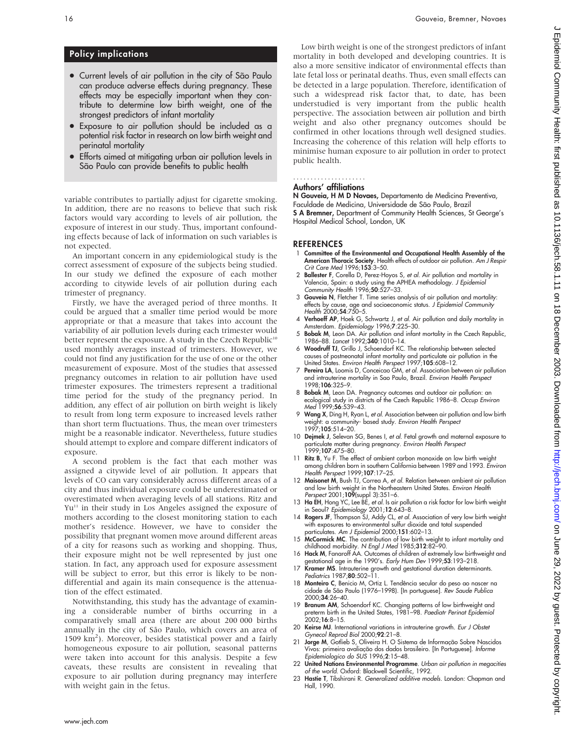# Policy implications

- Current levels of air pollution in the city of São Paulo can produce adverse effects during pregnancy. These effects may be especially important when they contribute to determine low birth weight, one of the strongest predictors of infant mortality
- N Exposure to air pollution should be included as a potential risk factor in research on low birth weight and perinatal mortality
- Efforts aimed at mitigating urban air pollution levels in São Paulo can provide benefits to public health

variable contributes to partially adjust for cigarette smoking. In addition, there are no reasons to believe that such risk factors would vary according to levels of air pollution, the exposure of interest in our study. Thus, important confounding effects because of lack of information on such variables is not expected.

An important concern in any epidemiological study is the correct assessment of exposure of the subjects being studied. In our study we defined the exposure of each mother according to citywide levels of air pollution during each trimester of pregnancy.

Firstly, we have the averaged period of three months. It could be argued that a smaller time period would be more appropriate or that a measure that takes into account the variability of air pollution levels during each trimester would better represent the exposure. A study in the Czech Republic<sup>10</sup> used monthly averages instead of trimesters. However, we could not find any justification for the use of one or the other measurement of exposure. Most of the studies that assessed pregnancy outcomes in relation to air pollution have used trimester exposures. The trimesters represent a traditional time period for the study of the pregnancy period. In addition, any effect of air pollution on birth weight is likely to result from long term exposure to increased levels rather than short term fluctuations. Thus, the mean over trimesters might be a reasonable indicator. Nevertheless, future studies should attempt to explore and compare different indicators of exposure.

A second problem is the fact that each mother was assigned a citywide level of air pollution. It appears that levels of CO can vary considerably across different areas of a city and thus individual exposure could be underestimated or overestimated when averaging levels of all stations. Ritz and Yu<sup>11</sup> in their study in Los Angeles assigned the exposure of mothers according to the closest monitoring station to each mother's residence. However, we have to consider the possibility that pregnant women move around different areas of a city for reasons such as working and shopping. Thus, their exposure might not be well represented by just one station. In fact, any approach used for exposure assessment will be subject to error, but this error is likely to be nondifferential and again its main consequence is the attenuation of the effect estimated.

Notwithstanding, this study has the advantage of examining a considerable number of births occurring in a comparatively small area (there are about 200 000 births annually in the city of São Paulo, which covers an area of 1509 km<sup>2</sup>). Moreover, besides statistical power and a fairly homogeneous exposure to air pollution, seasonal patterns were taken into account for this analysis. Despite a few caveats, these results are consistent in revealing that exposure to air pollution during pregnancy may interfere with weight gain in the fetus.

Low birth weight is one of the strongest predictors of infant mortality in both developed and developing countries. It is also a more sensitive indicator of environmental effects than late fetal loss or perinatal deaths. Thus, even small effects can be detected in a large population. Therefore, identification of such a widespread risk factor that, to date, has been understudied is very important from the public health perspective. The association between air pollution and birth weight and also other pregnancy outcomes should be confirmed in other locations through well designed studies. Increasing the coherence of this relation will help efforts to minimise human exposure to air pollution in order to protect public health.

# .....................

# Authors' affiliations

N Gouveia, H M D Novaes, Departamento de Medicina Preventiva, Faculdade de Medicina, Universidade de São Paulo, Brazil S A Bremner, Department of Community Health Sciences, St George's Hospital Medical School, London, UK

### **REFERENCES**

- 1 Committee of the Environmental and Occupational Health Assembly of the American Thoracic Society. Health effects of outdoor air pollution. Am J Respir Crit Care Med 1996;153:3–50.
- 2 Ballester F, Corella D, Perez-Hoyos S, et al. Air pollution and mortality in Valencia, Spain: a study using the APHEA methodology. *J Epidemio.*<br>Community Health 1996;**50**:527–33.
- 3 Gouveia N, Fletcher T. Time series analysis of air pollution and mortality: effects by cause, age and socioeconomic status. J Epidemiol Community Health 2000;54:750–5.
- 4 Verhoeff AP, Hoek G, Schwartz J, et al. Air pollution and daily mortality in Amsterdam. Epidemiology 1996;7:225–30.
- 5 Bobak M, Leon DA. Air pollution and infant mortality in the Czech Republic, 1986–88. Lancet 1992;340:1010–14.
- 6 Woodruff TJ, Grillo J, Schoendorf KC. The relationship between selected causes of postneonatal infant mortality and particulate air pollution in the United States. Environ Health Perspect 1997;105:608–12.
- 7 Pereira LA, Loomis D, Conceicao GM, et al. Association between air pollution and intrauterine mortality in Sao Paulo, Brazil. Environ Health Perspect 1998;106:325–9.
- 8 Bobak M, Leon DA. Pregnancy outcomes and outdoor air pollution: an ecological study in districts of the Czech Republic 1986–8. Occup Environ Med 1999;56:539-43.
- 9 Wang X, Ding H, Ryan L, et al. Association between air pollution and low birth weight: a community- based study. Environ Health Perspect 1997;105:514–20.
- 10 Dejmek J, Selevan SG, Benes I, et al. Fetal growth and maternal exposure to particulate matter during pregnancy. Environ Health Perspect 1999:**107**:475-80.
- 11 Ritz B, Yu F. The effect of ambient carbon monoxide on low birth weight among children born in southern California between 1989 and 1993. Environ Health Perspect 1999;107:17–25.
- 12 Maisonet M, Bush TJ, Correa A, et al. Relation between ambient air pollution and low birth weight in the Northeastern United States. Environ Health Perspect 2001;109(suppl 3):351-6.
- 13 Ha EH, Hong YC, Lee BE, et al. Is air pollution a risk factor for low birth weight in Seoul? Epidemiology 2001;12:643–8.
- 14 Rogers JF, Thompson SJ, Addy CL, et al. Association of very low birth weight with exposures to environmental sulfur dioxide and total suspended particulates. Am J Epidemiol 2000;151:602-13.
- 15 McCormick MC. The contribution of low birth weight to infant mortality and childhood morbidity. N Engl J Med 1985;312:82–90.
- 16 Hack M, Fanaroff AA. Outcomes of children of extremely low birthweight and gestational age in the 1990's. Early Hum Dev 1999;53:193–218.
- 17 Kramer MS. Intrauterine growth and gestational duration determinants. Pediatrics 1987;80:502–11.
- 18 Monteiro C, Benicio M, Ortiz L. Tendência secular do peso ao nascer na cidade de São Paulo (1976–1998). [In portuguese]. Rev Saude Publica 2000;34:26–40.
- 19 Branum AM, Schoendorf KC. Changing patterns of low birthweight and preterm birth in the United States, 1981–98. Paediatr Perinat Epidemiol 2002;16:8–15.
- 20 Keirse MJ. International variations in intrauterine growth. Eur J Obstet Gynecol Reprod Biol 2000;92:21–8.
- 21 Jorge M, Gotlieb S, Oliveira H. O Sistema de Informação Sobre Nascidos Vivos: primeira avaliação dos dados brasileiro. [In Portuguese]. Informe Epidemiologico do SUS 1996;2:15–48.
- 22 United Nations Environmental Programme. Urban air pollution in megacities of the world. Oxford: Blackwell Scientific, 1992.
- 23 Hastie T, Tibshirani R. Generalized additive models. London: Chapman and Hall, 1990.